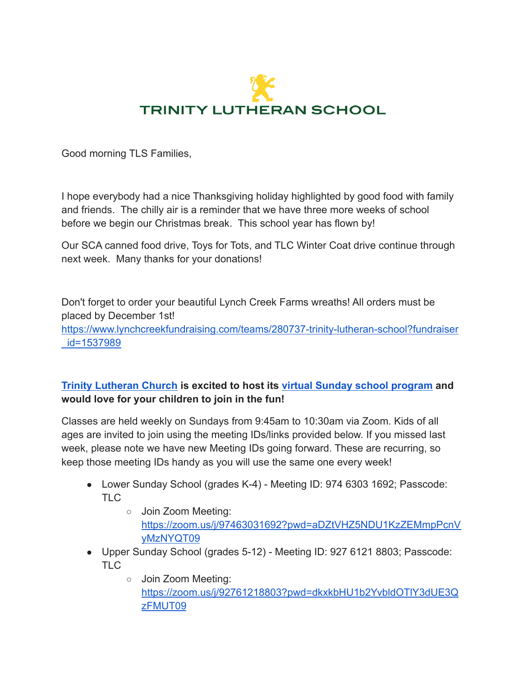

Good morning TLS Families,

I hope everybody had a nice Thanksgiving holiday highlighted by good food with family and friends. The chilly air is a reminder that we have three more weeks of school before we begin our Christmas break. This school year has flown by!

Our SCA canned food drive, Toys for Tots, and TLC Winter Coat drive continue through next week. Many thanks for your donations!

Don't forget to order your beautiful Lynch Creek Farms wreaths! All orders must be placed by December 1st! [https://www.lynchcreekfundraising.com/teams/280737-trinity-lutheran-school?fundraiser](http://track.spe.schoolmessenger.com/f/a/TxJ8lDUzG3FiMWA_GQWbAg~~/AAAAAQA~/RgRjg21wP4RbA2h0dHA6Ly90cmFjay5zcGUuc2Nob29sbWVzc2VuZ2VyLmNvbS9mL2EvWWdMSzBpVG1JTzF2ZjYwdkZ3eGpQUX5-L0FBQUFBUUF-L1JnUmplakx4UDRRVEFtaDBkSEE2THk5MGNtRmpheTV6Y0dVdWMyTm9iMjlzYldWemMyVnVaMlZ5TG1OdmJTOW1MMkV2TTBNMk9VdGtSbVp6T0dsaVZXRkpNSHBzVGpobWQzNS1MMEZCUVVGQlVVRi1MMUpuVW1wYU5sOWFVRFJSWWtGWGFEQmtTRUUyVEhrNU1HTnRSbXBoZVRWNlkwZFZkV015VG05aU1qbHpZbGRXZW1NeVZuVmFNbFo1VEcxT2RtSlRPVzFNTWtWMllrUmFkRTVYVW5oT01EVnRXa2MxVlU5VlpFWlpibVI1V2pOYWExVllOUzFNTUVaQ1VWVkdRbFZWUmkxTU1VcHVWVzF3V1dKc1dscFZSRUpUV2pKR1NWVnFRbXBUUlRBeVZFaHJOVTB5VVhwWk0xWnBVMGQ0TVZkVVNtOWhiVTUwVm0xNGFFMXNiM2haYlRGVFpWWnNXR0pJY0doV2VsWjFWRWN4VDJSdFNsUlBWRUpoVmpCYU1Ga3phelJsVlRsRlVWUk9UbVZ0VGpCYVJXaExZMGRLZEdKRVFteFZla1o2V2tab1UySXhjRmxUYldocFlWUkdObGRVU205a2JVbDVaREU1WVdKc1dqRlhhMmhMWVVkR1dWUnRlR3BpUkd4M1YydFJkMlZGTlZWVVZFNVFWa2RqTVZadVpHdGxiR3Q1WVVoYWFVMXVhREJWVjJSM1lVZFZOV0ZGU20xV01GcExWVmR2ZW1Sc1ZtOVZia1pxVWpGWmQxcEZhSE5SVjFKSlUyNUNhV0pYZDNkYVZtTXhaRlY0ZEZSdVdtbFdiV1JHVVZWR1FsRlZSbEptYmpWWVFqTk9hbUZIT1haaVJ6RkRRMjFIUWxkWWVVZFpWbFF5Wkd3NVUwVnRkRzVpTWxZd1pXcHJNMUZIWkhSWlYyeHpURzFPZG1KV1owVkJRVUZCUVZGLWZsY0hjMk5vYjI5c2JVSUtZWXR4XzVoaC1EdV9QRklTYTJkdlpYUjZPVGRBWjIxaGFXd3VZMjl0V0FRQUFBQUJXB3NjaG9vbG1CCmGL8DmiYfQNzqhSFG1jcm9uZUB0cmluaXR5bm4uY29tWAQAAAAB) [\\_id=1537989](http://track.spe.schoolmessenger.com/f/a/TxJ8lDUzG3FiMWA_GQWbAg~~/AAAAAQA~/RgRjg21wP4RbA2h0dHA6Ly90cmFjay5zcGUuc2Nob29sbWVzc2VuZ2VyLmNvbS9mL2EvWWdMSzBpVG1JTzF2ZjYwdkZ3eGpQUX5-L0FBQUFBUUF-L1JnUmplakx4UDRRVEFtaDBkSEE2THk5MGNtRmpheTV6Y0dVdWMyTm9iMjlzYldWemMyVnVaMlZ5TG1OdmJTOW1MMkV2TTBNMk9VdGtSbVp6T0dsaVZXRkpNSHBzVGpobWQzNS1MMEZCUVVGQlVVRi1MMUpuVW1wYU5sOWFVRFJSWWtGWGFEQmtTRUUyVEhrNU1HTnRSbXBoZVRWNlkwZFZkV015VG05aU1qbHpZbGRXZW1NeVZuVmFNbFo1VEcxT2RtSlRPVzFNTWtWMllrUmFkRTVYVW5oT01EVnRXa2MxVlU5VlpFWlpibVI1V2pOYWExVllOUzFNTUVaQ1VWVkdRbFZWUmkxTU1VcHVWVzF3V1dKc1dscFZSRUpUV2pKR1NWVnFRbXBUUlRBeVZFaHJOVTB5VVhwWk0xWnBVMGQ0TVZkVVNtOWhiVTUwVm0xNGFFMXNiM2haYlRGVFpWWnNXR0pJY0doV2VsWjFWRWN4VDJSdFNsUlBWRUpoVmpCYU1Ga3phelJsVlRsRlVWUk9UbVZ0VGpCYVJXaExZMGRLZEdKRVFteFZla1o2V2tab1UySXhjRmxUYldocFlWUkdObGRVU205a2JVbDVaREU1WVdKc1dqRlhhMmhMWVVkR1dWUnRlR3BpUkd4M1YydFJkMlZGTlZWVVZFNVFWa2RqTVZadVpHdGxiR3Q1WVVoYWFVMXVhREJWVjJSM1lVZFZOV0ZGU20xV01GcExWVmR2ZW1Sc1ZtOVZia1pxVWpGWmQxcEZhSE5SVjFKSlUyNUNhV0pYZDNkYVZtTXhaRlY0ZEZSdVdtbFdiV1JHVVZWR1FsRlZSbEptYmpWWVFqTk9hbUZIT1haaVJ6RkRRMjFIUWxkWWVVZFpWbFF5Wkd3NVUwVnRkRzVpTWxZd1pXcHJNMUZIWkhSWlYyeHpURzFPZG1KV1owVkJRVUZCUVZGLWZsY0hjMk5vYjI5c2JVSUtZWXR4XzVoaC1EdV9QRklTYTJkdlpYUjZPVGRBWjIxaGFXd3VZMjl0V0FRQUFBQUJXB3NjaG9vbG1CCmGL8DmiYfQNzqhSFG1jcm9uZUB0cmluaXR5bm4uY29tWAQAAAAB)

# **[Trinity Lutheran Church](http://track.spe.schoolmessenger.com/f/a/_BhdVOTLxDaRd_LOjQokYQ~~/AAAAAQA~/RgRjg21wP0S_aHR0cDovL3RyYWNrLnNwZS5zY2hvb2xtZXNzZW5nZXIuY29tL2YvYS9GM203RnhHUl91eENCRkhkMHN5by1nfn4vQUFBQUFRQX4vUmdSamVqTHhQMFFmYUhSMGNITTZMeTkwY21sdWFYUjViSFYwYUdWeVlXNHRibTR1WTI5dEwxY0hjMk5vYjI5c2JVSUtZWXR4XzVoaC1EdV9QRklTYTJkdlpYUjZPVGRBWjIxaGFXd3VZMjl0V0FRQUFBQUJXB3NjaG9vbG1CCmGL8DmiYfQNzqhSFG1jcm9uZUB0cmluaXR5bm4uY29tWAQAAAAB) is excited to host its virtual [Sunday school program](http://track.spe.schoolmessenger.com/f/a/jZe36TslE_uJeF9f4o6BEw~~/AAAAAQA~/RgRjg21wP0TfaHR0cDovL3RyYWNrLnNwZS5zY2hvb2xtZXNzZW5nZXIuY29tL2YvYS82TVotNnBDMmxRZGdPYnRPVlpBa1NBfn4vQUFBQUFRQX4vUmdSamVqTHhQMFEyYUhSMGNITTZMeTkwY21sdWFYUjViSFYwYUdWeVlXNHRibTR1WTI5dEwyMXBibWx6ZEhKNUwzTjFibVJoZVMxelkyaHZiMnd2VndkelkyaHZiMnh0UWdwaGkzSF9tR0g0Tzc4OFVoSnJaMjlsZEhvNU4wQm5iV0ZwYkM1amIyMVlCQUFBQUFFflcHc2Nob29sbUIKYYvwOaJh9A3OqFIUbWNyb25lQHRyaW5pdHlubi5jb21YBAAAAAE~) and would love for your children to join in the fun!**

Classes are held weekly on Sundays from 9:45am to 10:30am via Zoom. Kids of all ages are invited to join using the meeting IDs/links provided below. If you missed last week, please note we have new Meeting IDs going forward. These are recurring, so keep those meeting IDs handy as you will use the same one every week!

- Lower Sunday School (grades K-4) Meeting ID: 974 6303 1692; Passcode: TLC
	- Join Zoom Meeting: [https://zoom.us/j/97463031692?pwd=aDZtVHZ5NDU1KzZEMmpPcnV](http://track.spe.schoolmessenger.com/f/a/w7MBZ98VnORZbPOKg8xG9A~~/AAAAAQA~/RgRjg21wP0TvaHR0cDovL3RyYWNrLnNwZS5zY2hvb2xtZXNzZW5nZXIuY29tL2YvYS9aUkQwSTdPbllfdTBMVDZoaUY5VUN3fn4vQUFBQUFRQX4vUmdSamVqTHhQMFJDYUhSMGNITTZMeTk2YjI5dExuVnpMMm92T1RjME5qTXdNekUyT1RJX2NIZGtQV0ZFV25SV1NGbzFUa1JWTVV0NldrVk5iWEJRWTI1V2VVMTZUbGxSVkRBNVZ3ZHpZMmh2YjJ4dFFncGhpM0hfbUdINE83ODhVaEpyWjI5bGRIbzVOMEJuYldGcGJDNWpiMjFZQkFBQUFBRX5XB3NjaG9vbG1CCmGL8DmiYfQNzqhSFG1jcm9uZUB0cmluaXR5bm4uY29tWAQAAAAB) [yMzNYQT09](http://track.spe.schoolmessenger.com/f/a/w7MBZ98VnORZbPOKg8xG9A~~/AAAAAQA~/RgRjg21wP0TvaHR0cDovL3RyYWNrLnNwZS5zY2hvb2xtZXNzZW5nZXIuY29tL2YvYS9aUkQwSTdPbllfdTBMVDZoaUY5VUN3fn4vQUFBQUFRQX4vUmdSamVqTHhQMFJDYUhSMGNITTZMeTk2YjI5dExuVnpMMm92T1RjME5qTXdNekUyT1RJX2NIZGtQV0ZFV25SV1NGbzFUa1JWTVV0NldrVk5iWEJRWTI1V2VVMTZUbGxSVkRBNVZ3ZHpZMmh2YjJ4dFFncGhpM0hfbUdINE83ODhVaEpyWjI5bGRIbzVOMEJuYldGcGJDNWpiMjFZQkFBQUFBRX5XB3NjaG9vbG1CCmGL8DmiYfQNzqhSFG1jcm9uZUB0cmluaXR5bm4uY29tWAQAAAAB)
- Upper Sunday School (grades 5-12) Meeting ID: 927 6121 8803; Passcode: TLC
	- Join Zoom Meeting: [https://zoom.us/j/92761218803?pwd=dkxkbHU1b2YvbldOTlY3dUE3Q](http://track.spe.schoolmessenger.com/f/a/tEXhK9XWonsOC9kqlzEy4A~~/AAAAAQA~/RgRjg21wP0TvaHR0cDovL3RyYWNrLnNwZS5zY2hvb2xtZXNzZW5nZXIuY29tL2YvYS90SGZZSExfZmo5Z2xxY2ZhUlpxcEx3fn4vQUFBQUFRQX4vUmdSamVqTHhQMFJDYUhSMGNITTZMeTk2YjI5dExuVnpMMm92T1RJM05qRXlNVGc0TURNX2NIZGtQV1JyZUd0aVNGVXhZakpaZG1Kc1pFOVViRmt6WkZWRk0xRjZSazFWVkRBNVZ3ZHpZMmh2YjJ4dFFncGhpM0hfbUdINE83ODhVaEpyWjI5bGRIbzVOMEJuYldGcGJDNWpiMjFZQkFBQUFBRX5XB3NjaG9vbG1CCmGL8DmiYfQNzqhSFG1jcm9uZUB0cmluaXR5bm4uY29tWAQAAAAB) [zFMUT09](http://track.spe.schoolmessenger.com/f/a/tEXhK9XWonsOC9kqlzEy4A~~/AAAAAQA~/RgRjg21wP0TvaHR0cDovL3RyYWNrLnNwZS5zY2hvb2xtZXNzZW5nZXIuY29tL2YvYS90SGZZSExfZmo5Z2xxY2ZhUlpxcEx3fn4vQUFBQUFRQX4vUmdSamVqTHhQMFJDYUhSMGNITTZMeTk2YjI5dExuVnpMMm92T1RJM05qRXlNVGc0TURNX2NIZGtQV1JyZUd0aVNGVXhZakpaZG1Kc1pFOVViRmt6WkZWRk0xRjZSazFWVkRBNVZ3ZHpZMmh2YjJ4dFFncGhpM0hfbUdINE83ODhVaEpyWjI5bGRIbzVOMEJuYldGcGJDNWpiMjFZQkFBQUFBRX5XB3NjaG9vbG1CCmGL8DmiYfQNzqhSFG1jcm9uZUB0cmluaXR5bm4uY29tWAQAAAAB)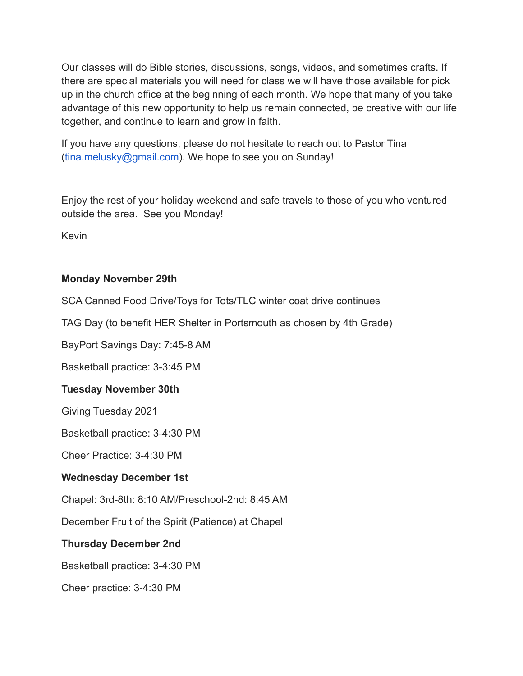Our classes will do Bible stories, discussions, songs, videos, and sometimes crafts. If there are special materials you will need for class we will have those available for pick up in the church office at the beginning of each month. We hope that many of you take advantage of this new opportunity to help us remain connected, be creative with our life together, and continue to learn and grow in faith.

If you have any questions, please do not hesitate to reach out to Pastor Tina (tina.melusky@gmail.com). We hope to see you on Sunday!

Enjoy the rest of your holiday weekend and safe travels to those of you who ventured outside the area. See you Monday!

Kevin

## **Monday November 29th**

SCA Canned Food Drive/Toys for Tots/TLC winter coat drive continues

TAG Day (to benefit HER Shelter in Portsmouth as chosen by 4th Grade)

BayPort Savings Day: 7:45-8 AM

Basketball practice: 3-3:45 PM

#### **Tuesday November 30th**

Giving Tuesday 2021

Basketball practice: 3-4:30 PM

Cheer Practice: 3-4:30 PM

#### **Wednesday December 1st**

Chapel: 3rd-8th: 8:10 AM/Preschool-2nd: 8:45 AM

December Fruit of the Spirit (Patience) at Chapel

## **Thursday December 2nd**

Basketball practice: 3-4:30 PM

Cheer practice: 3-4:30 PM